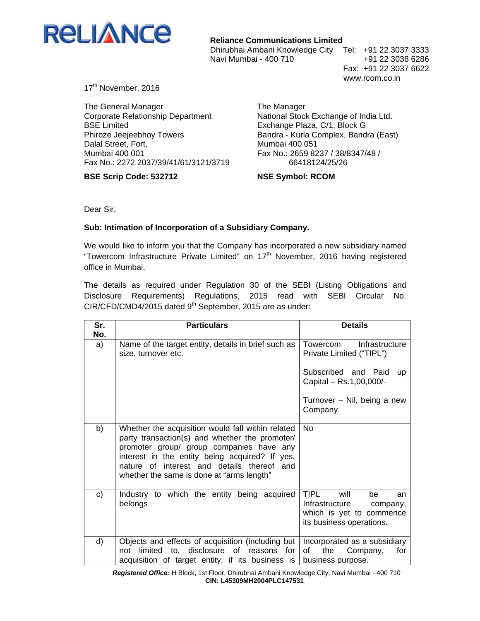

**Reliance Communications Limited**

Dhirubhai Ambani Knowledge City Tel: +91 22 3037 3333 Navi Mumbai - 400 710 +91 22 3038 6286

 Fax: +91 22 3037 6622 www.rcom.co.in

17<sup>th</sup> November, 2016

The General Manager Corporate Relationship Department BSE Limited Phiroze Jeejeebhoy Towers Dalal Street, Fort, Mumbai 400 001 Fax No.: 2272 2037/39/41/61/3121/3719

**BSE Scrip Code: 532712** 

The Manager National Stock Exchange of India Ltd. Exchange Plaza, C/1, Block G Bandra - Kurla Complex, Bandra (East) Mumbai 400 051 Fax No.: 2659 8237 / 38/8347/48 / 66418124/25/26

## **NSE Symbol: RCOM**

Dear Sir,

## **Sub: Intimation of Incorporation of a Subsidiary Company.**

We would like to inform you that the Company has incorporated a new subsidiary named "Towercom Infrastructure Private Limited" on  $17<sup>th</sup>$  November, 2016 having registered office in Mumbai.

The details as required under Regulation 30 of the SEBI (Listing Obligations and Disclosure Requirements) Regulations, 2015 read with SEBI Circular No. CIR/CFD/CMD4/2015 dated 9<sup>th</sup> September, 2015 are as under:

| Sr.       | <b>Particulars</b>                                                                                                                                                                                                                                                                           | <b>Details</b>                                                                                                        |
|-----------|----------------------------------------------------------------------------------------------------------------------------------------------------------------------------------------------------------------------------------------------------------------------------------------------|-----------------------------------------------------------------------------------------------------------------------|
| No.<br>a) | Name of the target entity, details in brief such as<br>size, turnover etc.                                                                                                                                                                                                                   | Towercom<br>Infrastructure<br>Private Limited ("TIPL")                                                                |
|           |                                                                                                                                                                                                                                                                                              | Subscribed and Paid<br><b>up</b><br>Capital - Rs.1,00,000/-                                                           |
|           |                                                                                                                                                                                                                                                                                              | Turnover – Nil, being a new<br>Company.                                                                               |
| b)        | Whether the acquisition would fall within related<br>party transaction(s) and whether the promoter/<br>promoter group/ group companies have any<br>interest in the entity being acquired? If yes,<br>nature of interest and details thereof and<br>whether the same is done at "arms length" | <b>No</b>                                                                                                             |
| c)        | Industry to which the entity being acquired<br>belongs                                                                                                                                                                                                                                       | <b>TIPL</b><br>will<br>be<br>an<br>Infrastructure<br>company,<br>which is yet to commence<br>its business operations. |
| d)        | Objects and effects of acquisition (including but  <br>limited to, disclosure of reasons<br>for<br>not<br>acquisition of target entity, if its business is                                                                                                                                   | Incorporated as a subsidiary<br>of<br>the<br>Company,<br>for<br>business purpose.                                     |

*Registered Office:* H Block, 1st Floor, Dhirubhai Ambani Knowledge City, Navi Mumbai - 400 710 **CIN: L45309MH2004PLC147531**